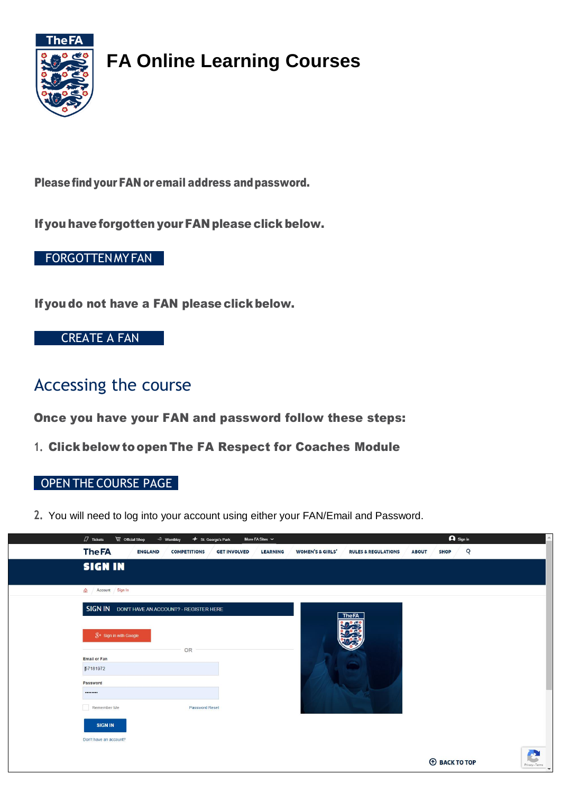

# **FA Online Learning Courses**

Please find your FAN or email address and password.

Ifyou haveforgotten yourFAN please click below.

### [FORGOTTENMYFAN](https://secure.thefa.com/fan/retrievefandetails.aspx)

If you do not have a FAN please click below.

### [CREATE A FAN](https://wgs.thefa.com/WGS/main.aspx?etc=2&extraqs=%3f_gridType%3d2%26etc%3d2%26id%3d%257b60BDD33B-741E-E511-8F84-005056BC2DBB%257d%26pagemode%3diframe%26preloadcache%3d1588155818314%26rskey%3d398996517&pagetype=entityrecord)

### Accessing the course

Once you have your FAN and password follow these steps:

**1.** Clickbelow toopen The FA Respect for Coaches Module

### OPEN THE [COURSE PAGE](https://falearning.thefa.com/course/view.php?id=1746)

**2.** You will need to log into your account using either your FAN/Email and Password.

| $\Box$ Tickets<br>© Official Shop | $\triangleq$ Wembley<br>+ St. George's Park           | More FA Sites $\sim$                           | $\bigcap$ Sign in              |                                               |  |
|-----------------------------------|-------------------------------------------------------|------------------------------------------------|--------------------------------|-----------------------------------------------|--|
| <b>The FA</b><br><b>ENGLAND</b>   | <b>COMPETITIONS</b><br><b>GET INVOLVED</b>            | <b>WOMEN'S &amp; GIRLS'</b><br><b>LEARNING</b> | <b>RULES &amp; REGULATIONS</b> | $\overline{Q}$<br><b>SHOP</b><br><b>ABOUT</b> |  |
| <b>SIGN IN</b>                    |                                                       |                                                |                                |                                               |  |
| m Account Sign In                 |                                                       |                                                |                                |                                               |  |
|                                   | <b>SIGN IN DON'T HAVE AN ACCOUNT? - REGISTER HERE</b> |                                                | <b>The FA</b>                  |                                               |  |
| 8+ Sign in with Google            |                                                       |                                                | <b>D</b> °S                    |                                               |  |
|                                   | OR                                                    |                                                |                                |                                               |  |
| <b>Email or Fan</b>               |                                                       |                                                |                                |                                               |  |
| 57181972                          |                                                       |                                                |                                |                                               |  |
| Password                          |                                                       |                                                |                                |                                               |  |
|                                   |                                                       |                                                |                                |                                               |  |
| Remember Me                       | <b>Password Reset</b>                                 |                                                |                                |                                               |  |
| <b>SIGN IN</b>                    |                                                       |                                                |                                |                                               |  |
| Don't have an account?            |                                                       |                                                |                                |                                               |  |
|                                   |                                                       |                                                |                                |                                               |  |
|                                   |                                                       |                                                |                                | <b>CORACK TO TOP</b>                          |  |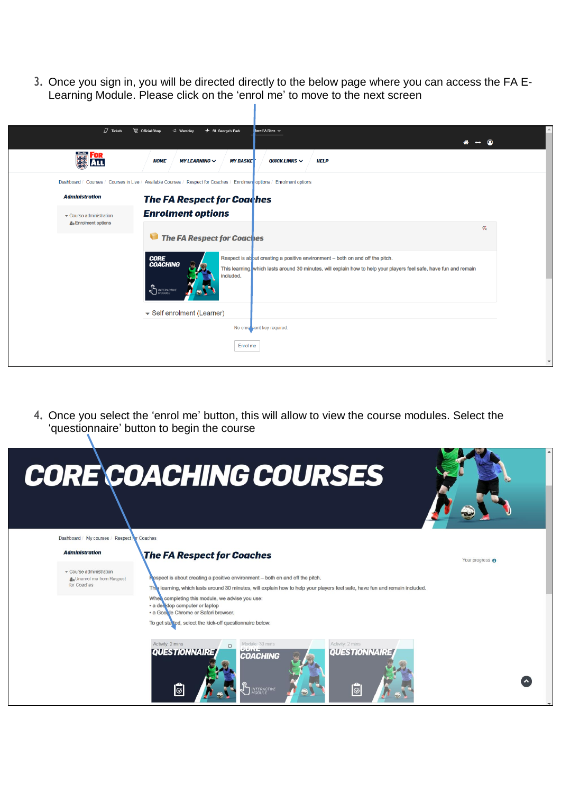**3.** Once you sign in, you will be directed directly to the below page where you can access the FA E-Learning Module. Please click on the 'enrol me' to move to the next screen

| $\mathbb{Z}$ Tickets       | $\triangleq$ Wembley<br><b>W</b> Official Shop<br>$+$ St. George's Park<br>tore FA Sites ↓                                                                                                                                                                                   |                         |
|----------------------------|------------------------------------------------------------------------------------------------------------------------------------------------------------------------------------------------------------------------------------------------------------------------------|-------------------------|
|                            |                                                                                                                                                                                                                                                                              | <b>A ↔ ③</b>            |
| <b>WE FOR</b>              | <b>MY LEARNING <math>\vee</math></b><br><b>MY BASKET</b><br>QUICK LINKS $\sim$<br><b>HELP</b><br><b>HOME</b>                                                                                                                                                                 |                         |
|                            | Dashboard / Courses / Courses in Live / Available Courses / Respect for Coaches / Enrolmen options / Enrolment options                                                                                                                                                       |                         |
| <b>Administration</b>      | <b>The FA Respect for Coaches</b>                                                                                                                                                                                                                                            |                         |
| Course administration      | <b>Enrolment options</b>                                                                                                                                                                                                                                                     |                         |
| <b>L</b> Enrolment options | The FA Respect for Coaches                                                                                                                                                                                                                                                   | $\mathscr{A}_{\!\star}$ |
|                            | Respect is ab out creating a positive environment - both on and off the pitch.<br><b>CORE</b><br><b>COACHING</b><br>This learning, which lasts around 30 minutes, will explain how to help your players feel safe, have fun and remain<br>included.<br><b>AN INTERACTIVE</b> |                         |
|                            | Self enrolment (Learner)                                                                                                                                                                                                                                                     |                         |
|                            | No enro nent key required.                                                                                                                                                                                                                                                   |                         |
|                            | Enrol me                                                                                                                                                                                                                                                                     |                         |
|                            |                                                                                                                                                                                                                                                                              |                         |

**4.** Once you select the 'enrol me' button, this will allow to view the course modules. Select the 'questionnaire' button to begin the course

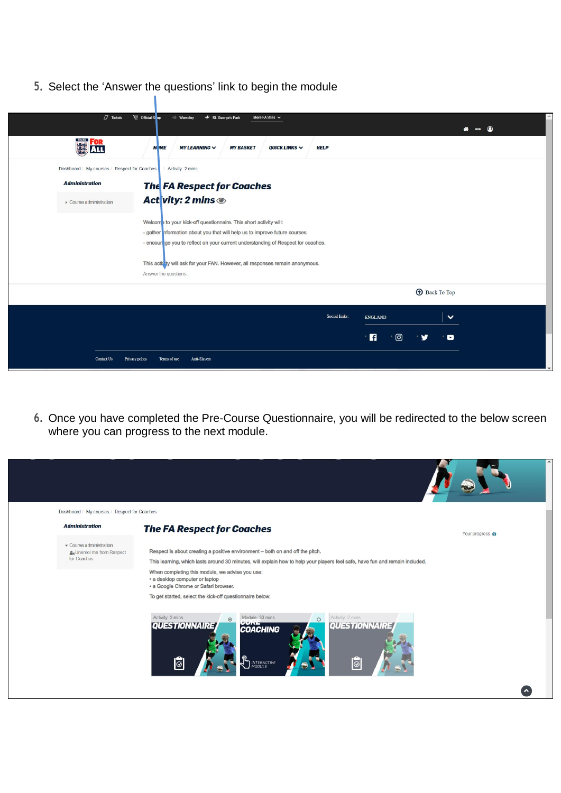**5.** Select the 'Answer the questions' link to begin the module



**6.** Once you have completed the Pre-Course Questionnaire, you will be redirected to the below screen where you can progress to the next module.